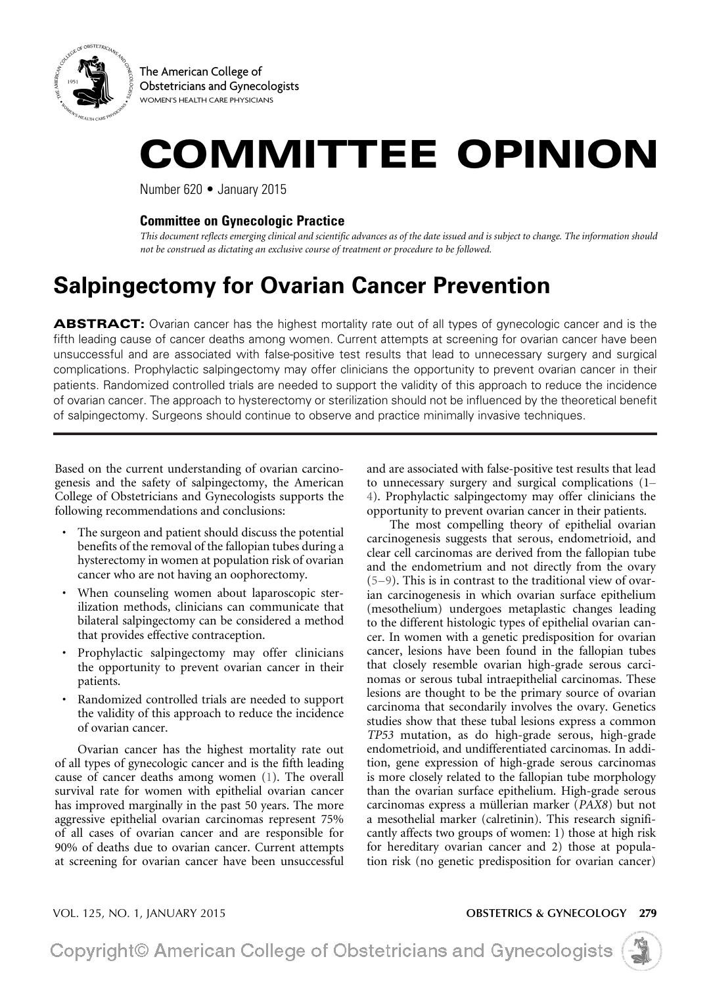

The American College of Obstetricians and Gynecologists WOMEN'S HEALTH CARE PHYSICIANS

# COMMITTEE OPINION

Number 620 • January 2015

### **Committee on Gynecologic Practice**

*This document reflects emerging clinical and scientific advances as of the date issued and is subject to change. The information should not be construed as dictating an exclusive course of treatment or procedure to be followed.*

## **Salpingectomy for Ovarian Cancer Prevention**

ABSTRACT: Ovarian cancer has the highest mortality rate out of all types of gynecologic cancer and is the fifth leading cause of cancer deaths among women. Current attempts at screening for ovarian cancer have been unsuccessful and are associated with false-positive test results that lead to unnecessary surgery and surgical complications. Prophylactic salpingectomy may offer clinicians the opportunity to prevent ovarian cancer in their patients. Randomized controlled trials are needed to support the validity of this approach to reduce the incidence of ovarian cancer. The approach to hysterectomy or sterilization should not be influenced by the theoretical benefit of salpingectomy. Surgeons should continue to observe and practice minimally invasive techniques.

Based on the current understanding of ovarian carcinogenesis and the safety of salpingectomy, the American College of Obstetricians and Gynecologists supports the following recommendations and conclusions:

- The surgeon and patient should discuss the potential benefits of the removal of the fallopian tubes during a hysterectomy in women at population risk of ovarian cancer who are not having an oophorectomy.
- When counseling women about laparoscopic sterilization methods, clinicians can communicate that bilateral salpingectomy can be considered a method that provides effective contraception.
- Prophylactic salpingectomy may offer clinicians the opportunity to prevent ovarian cancer in their patients.
- Randomized controlled trials are needed to support the validity of this approach to reduce the incidence of ovarian cancer.

<span id="page-0-0"></span>Ovarian cancer has the highest mortality rate out of all types of gynecologic cancer and is the fifth leading cause of cancer deaths among women [\(1\)](#page-2-0). The overall survival rate for women with epithelial ovarian cancer has improved marginally in the past 50 years. The more aggressive epithelial ovarian carcinomas represent 75% of all cases of ovarian cancer and are responsible for 90% of deaths due to ovarian cancer. Current attempts at screening for ovarian cancer have been unsuccessful

<span id="page-0-1"></span>and are associated with false-positive test results that lead to unnecessary surgery and surgical complications ([1–](#page-2-1) [4\)](#page-2-1). Prophylactic salpingectomy may offer clinicians the opportunity to prevent ovarian cancer in their patients.

<span id="page-0-2"></span>The most compelling theory of epithelial ovarian carcinogenesis suggests that serous, endometrioid, and clear cell carcinomas are derived from the fallopian tube and the endometrium and not directly from the ovary ([5–9\)](#page-2-2). This is in contrast to the traditional view of ovarian carcinogenesis in which ovarian surface epithelium (mesothelium) undergoes metaplastic changes leading to the different histologic types of epithelial ovarian cancer. In women with a genetic predisposition for ovarian cancer, lesions have been found in the fallopian tubes that closely resemble ovarian high-grade serous carcinomas or serous tubal intraepithelial carcinomas. These lesions are thought to be the primary source of ovarian carcinoma that secondarily involves the ovary. Genetics studies show that these tubal lesions express a common *TP53* mutation, as do high-grade serous, high-grade endometrioid, and undifferentiated carcinomas. In addition, gene expression of high-grade serous carcinomas is more closely related to the fallopian tube morphology than the ovarian surface epithelium. High-grade serous carcinomas express a müllerian marker (*PAX8*) but not a mesothelial marker (calretinin). This research significantly affects two groups of women: 1) those at high risk for hereditary ovarian cancer and 2) those at population risk (no genetic predisposition for ovarian cancer)

#### VOL. 125, NO. 1, JANUARY 2015 **OBSTETRICS & GYNECOLOGY** 279

Copyright© American College of Obstetricians and Gynecologists

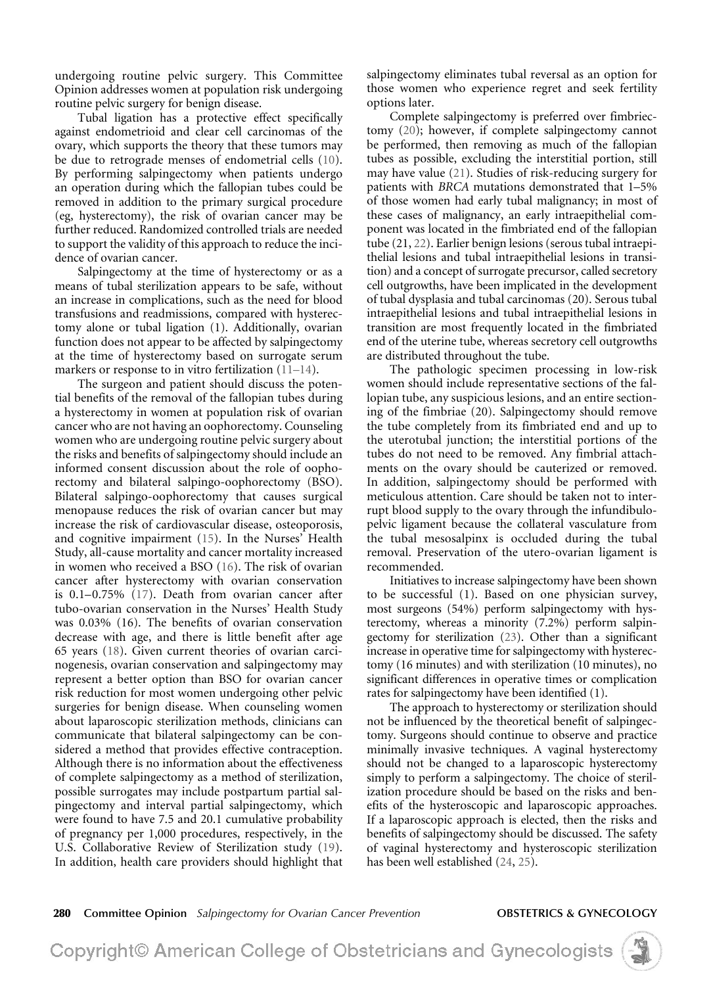undergoing routine pelvic surgery. This Committee Opinion addresses women at population risk undergoing routine pelvic surgery for benign disease.

<span id="page-1-12"></span>Tubal ligation has a protective effect specifically against endometrioid and clear cell carcinomas of the ovary, which supports the theory that these tumors may be due to retrograde menses of endometrial cells [\(10\)](#page-2-3). By performing salpingectomy when patients undergo an operation during which the fallopian tubes could be removed in addition to the primary surgical procedure (eg, hysterectomy), the risk of ovarian cancer may be further reduced. Randomized controlled trials are needed to support the validity of this approach to reduce the incidence of ovarian cancer.

Salpingectomy at the time of hysterectomy or as a means of tubal sterilization appears to be safe, without an increase in complications, such as the need for blood transfusions and readmissions, compared with hysterectomy alone or tubal ligation (1). Additionally, ovarian function does not appear to be affected by salpingectomy at the time of hysterectomy based on surrogate serum markers or response to in vitro fertilization ([11–14\)](#page-2-4).

<span id="page-1-4"></span><span id="page-1-3"></span><span id="page-1-2"></span><span id="page-1-1"></span><span id="page-1-0"></span>The surgeon and patient should discuss the potential benefits of the removal of the fallopian tubes during a hysterectomy in women at population risk of ovarian cancer who are not having an oophorectomy. Counseling women who are undergoing routine pelvic surgery about the risks and benefits of salpingectomy should include an informed consent discussion about the role of oophorectomy and bilateral salpingo-oophorectomy (BSO). Bilateral salpingo-oophorectomy that causes surgical menopause reduces the risk of ovarian cancer but may increase the risk of cardiovascular disease, osteoporosis, and cognitive impairment [\(15\)](#page-2-5). In the Nurses' Health Study, all-cause mortality and cancer mortality increased in women who received a BSO ([16](#page-2-6)). The risk of ovarian cancer after hysterectomy with ovarian conservation is 0.1–0.75% ([17\)](#page-2-7). Death from ovarian cancer after tubo-ovarian conservation in the Nurses' Health Study was 0.03% (16). The benefits of ovarian conservation decrease with age, and there is little benefit after age 65 years [\(18\)](#page-2-8). Given current theories of ovarian carcinogenesis, ovarian conservation and salpingectomy may represent a better option than BSO for ovarian cancer risk reduction for most women undergoing other pelvic surgeries for benign disease. When counseling women about laparoscopic sterilization methods, clinicians can communicate that bilateral salpingectomy can be considered a method that provides effective contraception. Although there is no information about the effectiveness of complete salpingectomy as a method of sterilization, possible surrogates may include postpartum partial salpingectomy and interval partial salpingectomy, which were found to have 7.5 and 20.1 cumulative probability of pregnancy per 1,000 procedures, respectively, in the U.S. Collaborative Review of Sterilization study [\(19\)](#page-2-9). In addition, health care providers should highlight that

salpingectomy eliminates tubal reversal as an option for those women who experience regret and seek fertility options later.

<span id="page-1-8"></span><span id="page-1-7"></span><span id="page-1-6"></span>Complete salpingectomy is preferred over fimbriectomy ([20](#page-2-10)); however, if complete salpingectomy cannot be performed, then removing as much of the fallopian tubes as possible, excluding the interstitial portion, still may have value [\(21](#page-2-11)). Studies of risk-reducing surgery for patients with *BRCA* mutations demonstrated that 1–5% of those women had early tubal malignancy; in most of these cases of malignancy, an early intraepithelial component was located in the fimbriated end of the fallopian tube (21, [22](#page-2-12)). Earlier benign lesions (serous tubal intraepithelial lesions and tubal intraepithelial lesions in transition) and a concept of surrogate precursor, called secretory cell outgrowths, have been implicated in the development of tubal dysplasia and tubal carcinomas (20). Serous tubal intraepithelial lesions and tubal intraepithelial lesions in transition are most frequently located in the fimbriated end of the uterine tube, whereas secretory cell outgrowths are distributed throughout the tube.

The pathologic specimen processing in low-risk women should include representative sections of the fallopian tube, any suspicious lesions, and an entire sectioning of the fimbriae (20). Salpingectomy should remove the tube completely from its fimbriated end and up to the uterotubal junction; the interstitial portions of the tubes do not need to be removed. Any fimbrial attachments on the ovary should be cauterized or removed. In addition, salpingectomy should be performed with meticulous attention. Care should be taken not to interrupt blood supply to the ovary through the infundibulopelvic ligament because the collateral vasculature from the tubal mesosalpinx is occluded during the tubal removal. Preservation of the utero-ovarian ligament is recommended.

<span id="page-1-9"></span>Initiatives to increase salpingectomy have been shown to be successful (1). Based on one physician survey, most surgeons (54%) perform salpingectomy with hysterectomy, whereas a minority (7.2%) perform salpingectomy for sterilization [\(23\)](#page-2-13). Other than a significant increase in operative time for salpingectomy with hysterectomy (16 minutes) and with sterilization (10 minutes), no significant differences in operative times or complication rates for salpingectomy have been identified (1).

<span id="page-1-10"></span>The approach to hysterectomy or sterilization should not be influenced by the theoretical benefit of salpingectomy. Surgeons should continue to observe and practice minimally invasive techniques. A vaginal hysterectomy should not be changed to a laparoscopic hysterectomy simply to perform a salpingectomy. The choice of sterilization procedure should be based on the risks and benefits of the hysteroscopic and laparoscopic approaches. If a laparoscopic approach is elected, then the risks and benefits of salpingectomy should be discussed. The safety of vaginal hysterectomy and hysteroscopic sterilization has been well established ([24](#page-2-14), [25](#page-2-15)).

<span id="page-1-5"></span>280 **Committee Opinion** *Salpingectomy for Ovarian Cancer Prevention* **OBSTETRICS & GYNECOLOGY**

Copyright© American College of Obstetricians and Gynecologists

<span id="page-1-11"></span>